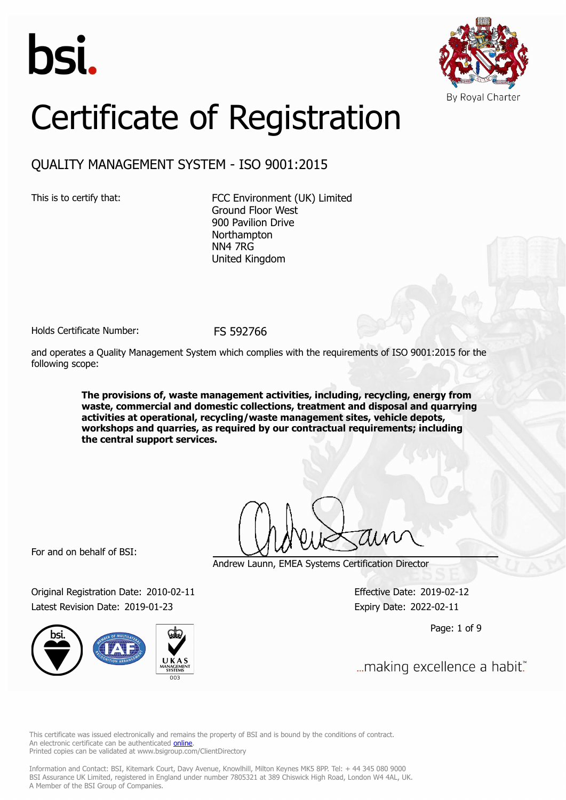



# Certificate of Registration

# QUALITY MANAGEMENT SYSTEM - ISO 9001:2015

This is to certify that: FCC Environment (UK) Limited Ground Floor West 900 Pavilion Drive **Northampton** NN4 7RG United Kingdom

Holds Certificate Number: FS 592766

and operates a Quality Management System which complies with the requirements of ISO 9001:2015 for the following scope:

> **The provisions of, waste management activities, including, recycling, energy from waste, commercial and domestic collections, treatment and disposal and quarrying activities at operational, recycling/waste management sites, vehicle depots, workshops and quarries, as required by our contractual requirements; including the central support services.**

For and on behalf of BSI:

Original Registration Date: 2010-02-11 Effective Date: 2019-02-12 Latest Revision Date: 2019-01-23 Expiry Date: 2022-02-11



Andrew Launn, EMEA Systems Certification Director

Page: 1 of 9

... making excellence a habit."

This certificate was issued electronically and remains the property of BSI and is bound by the conditions of contract. An electronic certificate can be authenticated **[online](https://pgplus.bsigroup.com/CertificateValidation/CertificateValidator.aspx?CertificateNumber=FS+592766&ReIssueDate=23%2f01%2f2019&Template=uk)**. Printed copies can be validated at www.bsigroup.com/ClientDirectory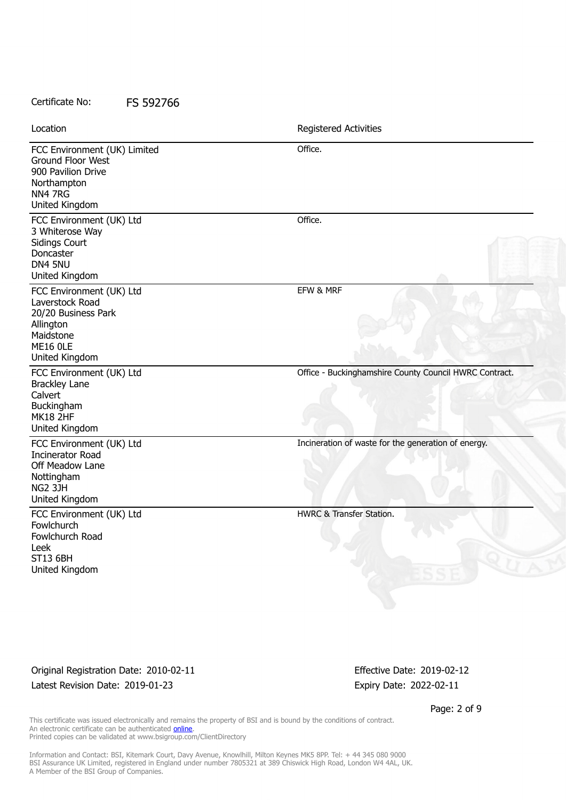| Location                                                                                                                          | Registered Activities                                  |
|-----------------------------------------------------------------------------------------------------------------------------------|--------------------------------------------------------|
| FCC Environment (UK) Limited<br>Ground Floor West<br>900 Pavilion Drive<br>Northampton<br>NN4 7RG<br>United Kingdom               | Office.                                                |
| FCC Environment (UK) Ltd<br>3 Whiterose Way<br><b>Sidings Court</b><br>Doncaster<br>DN4 5NU<br>United Kingdom                     | Office.                                                |
| FCC Environment (UK) Ltd<br>Laverstock Road<br>20/20 Business Park<br>Allington<br>Maidstone<br><b>ME16 OLE</b><br>United Kingdom | EFW & MRF                                              |
| FCC Environment (UK) Ltd<br><b>Brackley Lane</b><br>Calvert<br>Buckingham<br><b>MK18 2HF</b><br>United Kingdom                    | Office - Buckinghamshire County Council HWRC Contract. |
| FCC Environment (UK) Ltd<br><b>Incinerator Road</b><br>Off Meadow Lane<br>Nottingham<br>NG2 3JH<br>United Kingdom                 | Incineration of waste for the generation of energy.    |
| FCC Environment (UK) Ltd<br>Fowlchurch<br>Fowlchurch Road<br>Leek<br><b>ST13 6BH</b><br>United Kingdom                            | <b>HWRC &amp; Transfer Station.</b>                    |

Original Registration Date: 2010-02-11 Effective Date: 2019-02-12 Latest Revision Date: 2019-01-23 Expiry Date: 2022-02-11

Page: 2 of 9

This certificate was issued electronically and remains the property of BSI and is bound by the conditions of contract. An electronic certificate can be authenticated **[online](https://pgplus.bsigroup.com/CertificateValidation/CertificateValidator.aspx?CertificateNumber=FS+592766&ReIssueDate=23%2f01%2f2019&Template=uk)**. Printed copies can be validated at www.bsigroup.com/ClientDirectory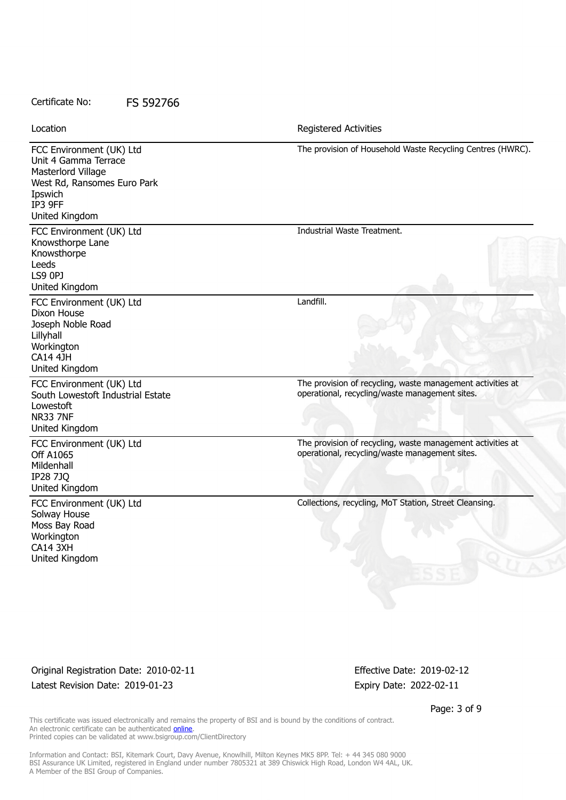| Location                                                                                                                                      | <b>Registered Activities</b>                                                                                 |
|-----------------------------------------------------------------------------------------------------------------------------------------------|--------------------------------------------------------------------------------------------------------------|
| FCC Environment (UK) Ltd<br>Unit 4 Gamma Terrace<br>Masterlord Village<br>West Rd, Ransomes Euro Park<br>Ipswich<br>IP3 9FF<br>United Kingdom | The provision of Household Waste Recycling Centres (HWRC).                                                   |
| FCC Environment (UK) Ltd<br>Knowsthorpe Lane<br>Knowsthorpe<br>Leeds<br>LS9 0PJ<br>United Kingdom                                             | Industrial Waste Treatment.                                                                                  |
| FCC Environment (UK) Ltd<br>Dixon House<br>Joseph Noble Road<br>Lillyhall<br>Workington<br><b>CA14 4JH</b><br>United Kingdom                  | Landfill.                                                                                                    |
| FCC Environment (UK) Ltd<br>South Lowestoft Industrial Estate<br>Lowestoft<br><b>NR33 7NF</b><br>United Kingdom                               | The provision of recycling, waste management activities at<br>operational, recycling/waste management sites. |
| FCC Environment (UK) Ltd<br>Off A1065<br>Mildenhall<br><b>IP28 7JQ</b><br>United Kingdom                                                      | The provision of recycling, waste management activities at<br>operational, recycling/waste management sites. |
| FCC Environment (UK) Ltd<br>Solway House<br>Moss Bay Road<br>Workington<br>CA14 3XH<br>United Kingdom                                         | Collections, recycling, MoT Station, Street Cleansing.                                                       |

Original Registration Date: 2010-02-11 Effective Date: 2019-02-12 Latest Revision Date: 2019-01-23 Expiry Date: 2022-02-11

Page: 3 of 9

This certificate was issued electronically and remains the property of BSI and is bound by the conditions of contract. An electronic certificate can be authenticated **[online](https://pgplus.bsigroup.com/CertificateValidation/CertificateValidator.aspx?CertificateNumber=FS+592766&ReIssueDate=23%2f01%2f2019&Template=uk)**. Printed copies can be validated at www.bsigroup.com/ClientDirectory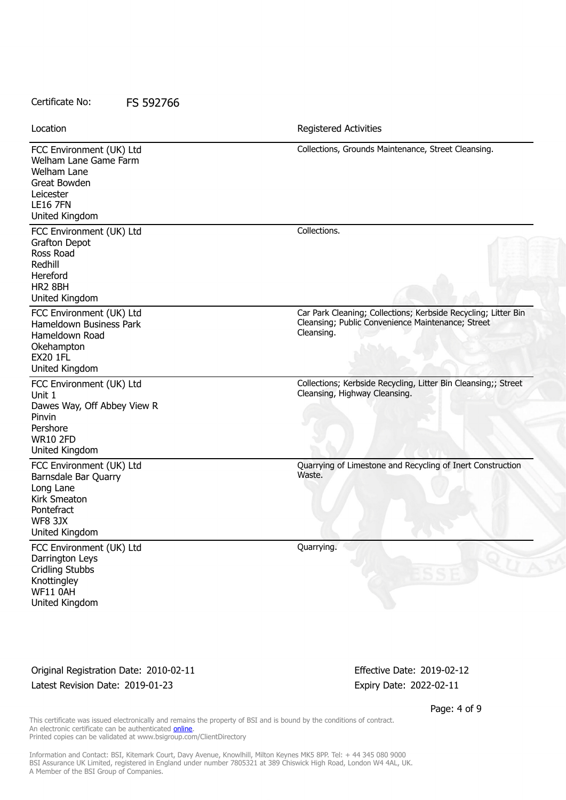FCC Environment (UK) Ltd Welham Lane Game Farm Welham Lane Great Bowden Leicester LE16 7FN United Kingdom Collections, Grounds Maintenance, Street Cleansing. FCC Environment (UK) Ltd Grafton Depot Ross Road Redhill Hereford HR2 8BH United Kingdom Collections. FCC Environment (UK) Ltd Hameldown Business Park Hameldown Road **Okehampton** EX20 1FL United Kingdom Car Park Cleaning; Collections; Kerbside Recycling; Litter Bin Cleansing; Public Convenience Maintenance; Street Cleansing. FCC Environment (UK) Ltd Unit 1 Dawes Way, Off Abbey View R Pinvin Pershore WR10 2FD United Kingdom Collections; Kerbside Recycling, Litter Bin Cleansing;; Street Cleansing, Highway Cleansing. FCC Environment (UK) Ltd Barnsdale Bar Quarry Long Lane Kirk Smeaton **Pontefract** WF8 3JX United Kingdom Quarrying of Limestone and Recycling of Inert Construction Waste. FCC Environment (UK) Ltd Darrington Leys Cridling Stubbs Knottingley WF11 0AH United Kingdom Quarrying. Location **Exercise 2018 Location Registered Activities** 

Original Registration Date: 2010-02-11 Effective Date: 2019-02-12 Latest Revision Date: 2019-01-23 Expiry Date: 2022-02-11

Page: 4 of 9

This certificate was issued electronically and remains the property of BSI and is bound by the conditions of contract. An electronic certificate can be authenticated **[online](https://pgplus.bsigroup.com/CertificateValidation/CertificateValidator.aspx?CertificateNumber=FS+592766&ReIssueDate=23%2f01%2f2019&Template=uk)**. Printed copies can be validated at www.bsigroup.com/ClientDirectory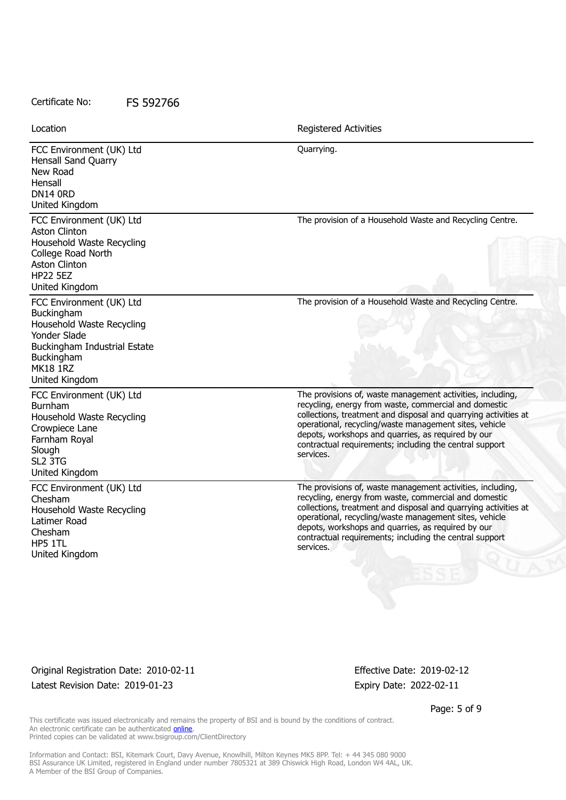Location **Exercise 2018 Location Registered Activities** 

FCC Environment (UK) Ltd Hensall Sand Quarry New Road Hensall DN14 0RD United Kingdom Quarrying. FCC Environment (UK) Ltd Aston Clinton Household Waste Recycling College Road North Aston Clinton HP22 5EZ United Kingdom The provision of a Household Waste and Recycling Centre. FCC Environment (UK) Ltd Buckingham Household Waste Recycling Yonder Slade Buckingham Industrial Estate Buckingham MK18 1RZ United Kingdom The provision of a Household Waste and Recycling Centre. FCC Environment (UK) Ltd Burnham Household Waste Recycling Crowpiece Lane Farnham Royal Slough SL2 3TG United Kingdom The provisions of, waste management activities, including, recycling, energy from waste, commercial and domestic collections, treatment and disposal and quarrying activities at operational, recycling/waste management sites, vehicle depots, workshops and quarries, as required by our contractual requirements; including the central support services. FCC Environment (UK) Ltd Chesham Household Waste Recycling Latimer Road Chesham HP5 1TL United Kingdom The provisions of, waste management activities, including, recycling, energy from waste, commercial and domestic collections, treatment and disposal and quarrying activities at operational, recycling/waste management sites, vehicle depots, workshops and quarries, as required by our contractual requirements; including the central support services.

Original Registration Date: 2010-02-11 Effective Date: 2019-02-12 Latest Revision Date: 2019-01-23 Expiry Date: 2022-02-11

Page: 5 of 9

This certificate was issued electronically and remains the property of BSI and is bound by the conditions of contract. An electronic certificate can be authenticated **[online](https://pgplus.bsigroup.com/CertificateValidation/CertificateValidator.aspx?CertificateNumber=FS+592766&ReIssueDate=23%2f01%2f2019&Template=uk)**. Printed copies can be validated at www.bsigroup.com/ClientDirectory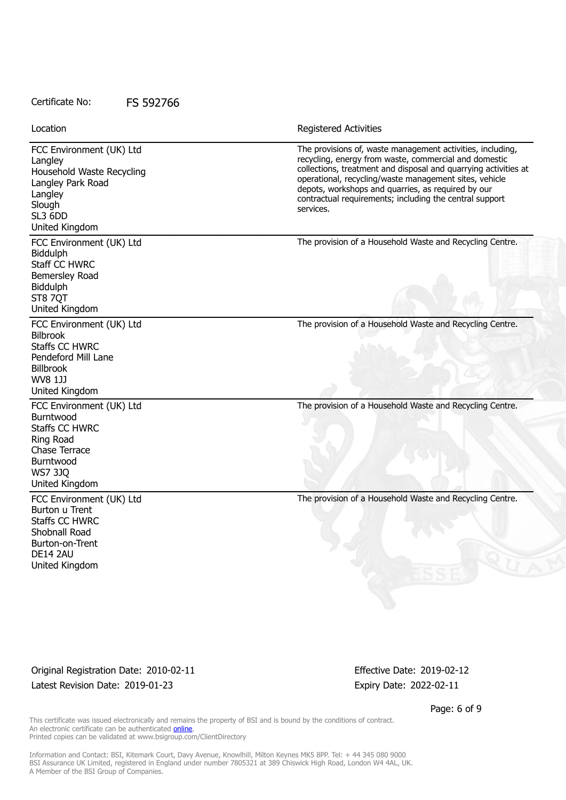FCC Environment (UK) Ltd Langley Household Waste Recycling Langley Park Road Langley **Slough** SL3 6DD United Kingdom The provisions of, waste management activities, including, recycling, energy from waste, commercial and domestic collections, treatment and disposal and quarrying activities at operational, recycling/waste management sites, vehicle depots, workshops and quarries, as required by our contractual requirements; including the central support services. FCC Environment (UK) Ltd **Biddulph** Staff CC HWRC Bemersley Road Biddulph ST8 7OT United Kingdom The provision of a Household Waste and Recycling Centre. FCC Environment (UK) Ltd Bilbrook Staffs CC HWRC Pendeford Mill Lane Billbrook WV8 1JJ United Kingdom The provision of a Household Waste and Recycling Centre. FCC Environment (UK) Ltd Burntwood Staffs CC HWRC Ring Road Chase Terrace Burntwood WS7 3JQ United Kingdom The provision of a Household Waste and Recycling Centre. FCC Environment (UK) Ltd Burton u Trent Staffs CC HWRC Shobnall Road Burton-on-Trent DE14 2AU United Kingdom The provision of a Household Waste and Recycling Centre. Location **Exercise 2018 Location Registered Activities** 

Original Registration Date: 2010-02-11 Effective Date: 2019-02-12 Latest Revision Date: 2019-01-23 Expiry Date: 2022-02-11

Page: 6 of 9

This certificate was issued electronically and remains the property of BSI and is bound by the conditions of contract. An electronic certificate can be authenticated **[online](https://pgplus.bsigroup.com/CertificateValidation/CertificateValidator.aspx?CertificateNumber=FS+592766&ReIssueDate=23%2f01%2f2019&Template=uk)**. Printed copies can be validated at www.bsigroup.com/ClientDirectory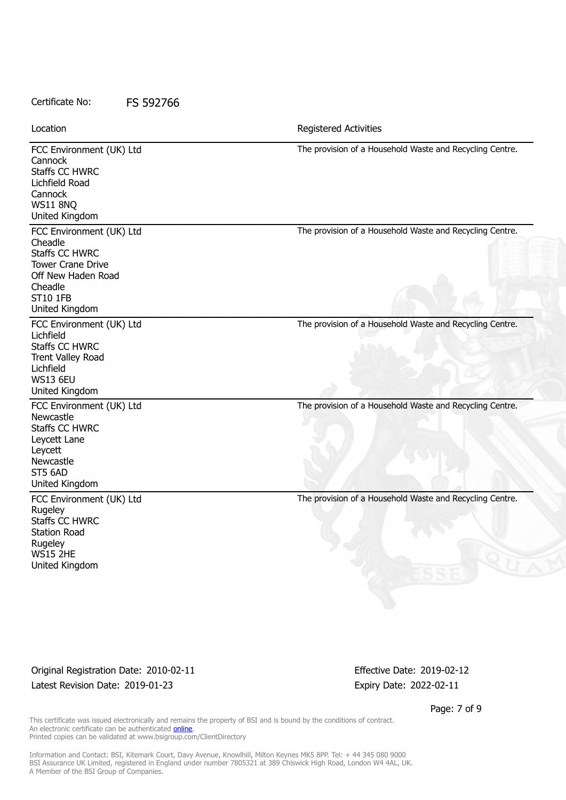FCC Environment (UK) Ltd **Cannock** Staffs CC HWRC Lichfield Road Cannock WS11 8NQ United Kingdom The provision of a Household Waste and Recycling Centre. FCC Environment (UK) Ltd Cheadle Staffs CC HWRC Tower Crane Drive Off New Haden Road Cheadle ST10 1FB United Kingdom The provision of a Household Waste and Recycling Centre. FCC Environment (UK) Ltd Lichfield Staffs CC HWRC Trent Valley Road Lichfield WS13 6EU United Kingdom The provision of a Household Waste and Recycling Centre. FCC Environment (UK) Ltd **Newcastle** Staffs CC HWRC Leycett Lane Leycett Newcastle ST5 6AD United Kingdom The provision of a Household Waste and Recycling Centre. FCC Environment (UK) Ltd Rugeley Staffs CC HWRC Station Road **Rugeley** WS15 2HE United Kingdom The provision of a Household Waste and Recycling Centre. Location **Exercise 2018 Location Registered Activities** 

Original Registration Date: 2010-02-11 Effective Date: 2019-02-12 Latest Revision Date: 2019-01-23 Expiry Date: 2022-02-11

Page: 7 of 9

This certificate was issued electronically and remains the property of BSI and is bound by the conditions of contract. An electronic certificate can be authenticated **[online](https://pgplus.bsigroup.com/CertificateValidation/CertificateValidator.aspx?CertificateNumber=FS+592766&ReIssueDate=23%2f01%2f2019&Template=uk)**. Printed copies can be validated at www.bsigroup.com/ClientDirectory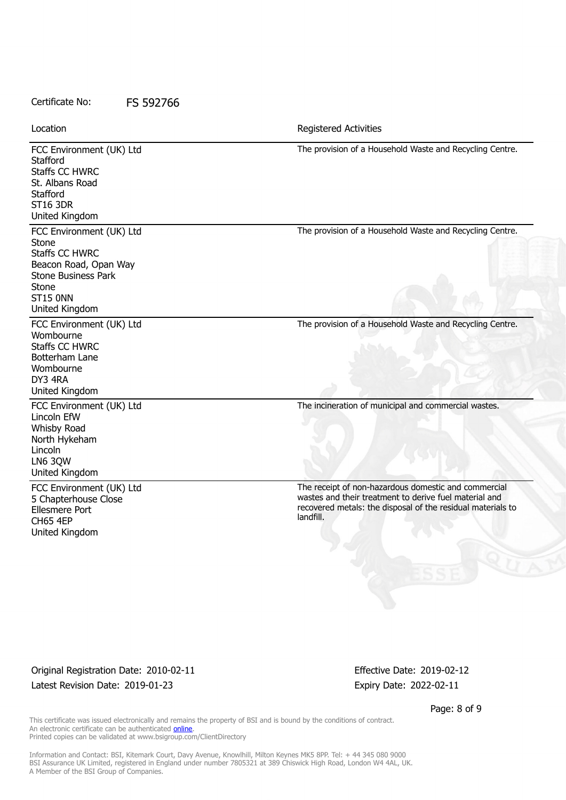FCC Environment (UK) Ltd **Stafford** Staffs CC HWRC St. Albans Road **Stafford** ST16 3DR United Kingdom The provision of a Household Waste and Recycling Centre. FCC Environment (UK) Ltd Stone Staffs CC HWRC Beacon Road, Opan Way Stone Business Park **Stone** ST15 0NN United Kingdom The provision of a Household Waste and Recycling Centre. FCC Environment (UK) Ltd Wombourne Staffs CC HWRC Botterham Lane Wombourne DY3 4RA United Kingdom The provision of a Household Waste and Recycling Centre. FCC Environment (UK) Ltd Lincoln EfW Whisby Road North Hykeham Lincoln LN6 3QW United Kingdom The incineration of municipal and commercial wastes. FCC Environment (UK) Ltd 5 Chapterhouse Close Ellesmere Port CH65 4EP United Kingdom The receipt of non-hazardous domestic and commercial wastes and their treatment to derive fuel material and recovered metals: the disposal of the residual materials to landfill. Location **Exercise 2018 Location Registered Activities** 

## Original Registration Date: 2010-02-11 Effective Date: 2019-02-12 Latest Revision Date: 2019-01-23 Expiry Date: 2022-02-11

Page: 8 of 9

This certificate was issued electronically and remains the property of BSI and is bound by the conditions of contract. An electronic certificate can be authenticated **[online](https://pgplus.bsigroup.com/CertificateValidation/CertificateValidator.aspx?CertificateNumber=FS+592766&ReIssueDate=23%2f01%2f2019&Template=uk)**. Printed copies can be validated at www.bsigroup.com/ClientDirectory